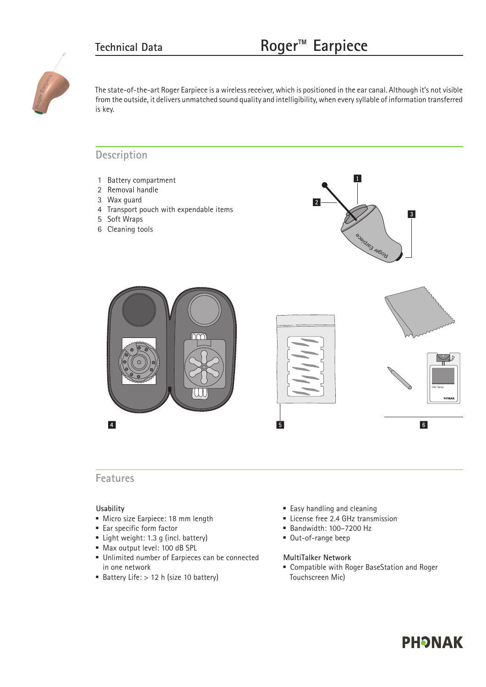1



The state-of-the-art Roger Earpiece is a wireless receiver, which is positioned in the ear canal. Although it's not visible from the outside, it delivers unmatched sound quality and intelligibility, when every syllable of information transferred is key.  $\mathbb{Z}$ . The contract between 2.2 Detection pairs battery.

#### Description 0-4 inches

- 1 Battery compartment
- 2 Removal handle
- 3 Wax guard
- 4 Transport pouch with expendable items
- 5 Soft Wraps
- 6 Cleaning tools



### **Features**

4

#### **Usability**

- Micro size Earpiece: 18 mm length
- Ear specific form factor
- Light weight: 1.3 g (incl. battery)
- Max output level: 100 dB SPL
- Unlimited number of Earpieces can be connected in one network
- Battery Life:  $> 12$  h (size 10 battery)
- **Easy handling and cleaning**
- **Exercise free 2.4 GHz transmission**
- Bandwidth: 100–7200 Hz
- Out-of-range beep

#### **MultiTalker Network**

 Compatible with Roger BaseStation and Roger Touchscreen Mic)